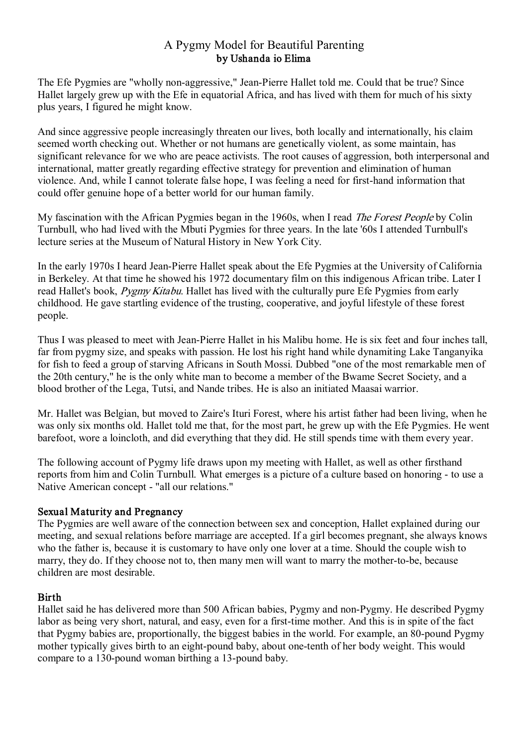# A Pygmy Model for Beautiful Parenting by Ushanda io Elima

The Efe Pygmies are "wholly non-aggressive," Jean-Pierre Hallet told me. Could that be true? Since Hallet largely grew up with the Efe in equatorial Africa, and has lived with them for much of his sixty plus years, I figured he might know.

And since aggressive people increasingly threaten our lives, both locally and internationally, his claim seemed worth checking out. Whether or not humans are genetically violent, as some maintain, has significant relevance for we who are peace activists. The root causes of aggression, both interpersonal and international, matter greatly regarding effective strategy for prevention and elimination of human violence. And, while I cannot tolerate false hope, I was feeling a need for first-hand information that could offer genuine hope of a better world for our human family.

My fascination with the African Pygmies began in the 1960s, when I read *The Forest People* by Colin Turnbull, who had lived with the Mbuti Pygmies for three years. In the late '60s I attended Turnbull's lecture series at the Museum of Natural History in New York City.

In the early 1970s I heard Jean-Pierre Hallet speak about the Efe Pygmies at the University of California in Berkeley. At that time he showed his 1972 documentary film on this indigenous African tribe. Later I read Hallet's book, *Pygmy Kitabu*. Hallet has lived with the culturally pure Efe Pygmies from early childhood. He gave startling evidence of the trusting, cooperative, and joyful lifestyle of these forest people.

Thus I was pleased to meet with Jean-Pierre Hallet in his Malibu home. He is six feet and four inches tall, far from pygmy size, and speaks with passion. He lost his right hand while dynamiting Lake Tanganyika for fish to feed a group of starving Africans in South Mossi. Dubbed "one of the most remarkable men of the 20th century," he is the only white man to become a member of the Bwame Secret Society, and a blood brother of the Lega, Tutsi, and Nande tribes. He is also an initiated Maasai warrior.

Mr. Hallet was Belgian, but moved to Zaire's Ituri Forest, where his artist father had been living, when he was only six months old. Hallet told me that, for the most part, he grew up with the Efe Pygmies. He went barefoot, wore a loincloth, and did everything that they did. He still spends time with them every year.

The following account of Pygmy life draws upon my meeting with Hallet, as well as other firsthand reports from him and Colin Turnbull. What emerges is a picture of a culture based on honoring - to use a Native American concept - "all our relations."

### Sexual Maturity and Pregnancy

The Pygmies are well aware of the connection between sex and conception, Hallet explained during our meeting, and sexual relations before marriage are accepted. If a girl becomes pregnant, she always knows who the father is, because it is customary to have only one lover at a time. Should the couple wish to marry, they do. If they choose not to, then many men will want to marry the mother-to-be, because children are most desirable.

### Birth

Hallet said he has delivered more than 500 African babies, Pygmy and non-Pygmy. He described Pygmy labor as being very short, natural, and easy, even for a first-time mother. And this is in spite of the fact that Pygmy babies are, proportionally, the biggest babies in the world. For example, an 80-pound Pygmy mother typically gives birth to an eight-pound baby, about one-tenth of her body weight. This would compare to a 130-pound woman birthing a 13-pound baby.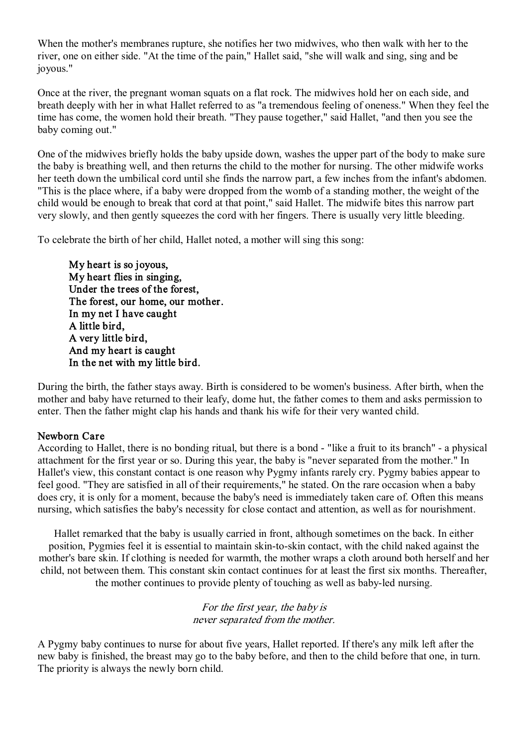When the mother's membranes rupture, she notifies her two midwives, who then walk with her to the river, one on either side. "At the time of the pain," Hallet said, "she will walk and sing, sing and be joyous."

Once at the river, the pregnant woman squats on a flat rock. The midwives hold her on each side, and breath deeply with her in what Hallet referred to as "a tremendous feeling of oneness." When they feel the time has come, the women hold their breath. "They pause together," said Hallet, "and then you see the baby coming out."

One of the midwives briefly holds the baby upside down, washes the upper part of the body to make sure the baby is breathing well, and then returns the child to the mother for nursing. The other midwife works her teeth down the umbilical cord until she finds the narrow part, a few inches from the infant's abdomen. "This is the place where, if a baby were dropped from the womb of a standing mother, the weight of the child would be enough to break that cord at that point," said Hallet. The midwife bites this narrow part very slowly, and then gently squeezes the cord with her fingers. There is usually very little bleeding.

To celebrate the birth of her child, Hallet noted, a mother will sing this song:

My heart is so joyous, My heart flies in singing, Under the trees of the forest, The forest, our home, our mother. In my net I have caught A little bird, A very little bird, And my heart is caught In the net with my little bird.

During the birth, the father stays away. Birth is considered to be women's business. After birth, when the mother and baby have returned to their leafy, dome hut, the father comes to them and asks permission to enter. Then the father might clap his hands and thank his wife for their very wanted child.

### Newborn Care

According to Hallet, there is no bonding ritual, but there is a bond - "like a fruit to its branch" - a physical attachment for the first year or so. During this year, the baby is "never separated from the mother." In Hallet's view, this constant contact is one reason why Pygmy infants rarely cry. Pygmy babies appear to feel good. "They are satisfied in all of their requirements," he stated. On the rare occasion when a baby does cry, it is only for a moment, because the baby's need is immediately taken care of. Often this means nursing, which satisfies the baby's necessity for close contact and attention, as well as for nourishment.

Hallet remarked that the baby is usually carried in front, although sometimes on the back. In either position, Pygmies feel it is essential to maintain skin-to-skin contact, with the child naked against the mother's bare skin. If clothing is needed for warmth, the mother wraps a cloth around both herself and her child, not between them. This constant skin contact continues for at least the first six months. Thereafter, the mother continues to provide plenty of touching as well as baby-led nursing.

#### For the first year, the baby is never separated from the mother.

A Pygmy baby continues to nurse for about five years, Hallet reported. If there's any milk left after the new baby is finished, the breast may go to the baby before, and then to the child before that one, in turn. The priority is always the newly born child.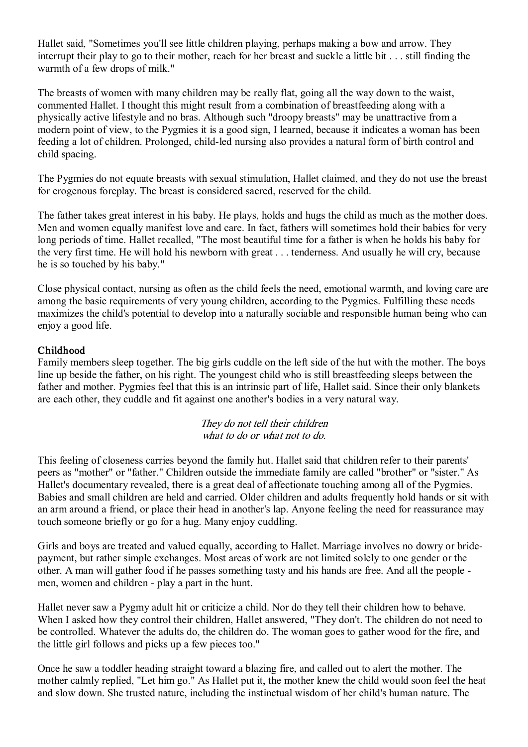Hallet said, "Sometimes you'll see little children playing, perhaps making a bow and arrow. They interrupt their play to go to their mother, reach for her breast and suckle a little bit . . . still finding the warmth of a few drops of milk."

The breasts of women with many children may be really flat, going all the way down to the waist, commented Hallet. I thought this might result from a combination of breastfeeding along with a physically active lifestyle and no bras. Although such "droopy breasts" may be unattractive from a modern point of view, to the Pygmies it is a good sign, I learned, because it indicates a woman has been feeding a lot of children. Prolonged, child-led nursing also provides a natural form of birth control and child spacing.

The Pygmies do not equate breasts with sexual stimulation, Hallet claimed, and they do not use the breast for erogenous foreplay. The breast is considered sacred, reserved for the child.

The father takes great interest in his baby. He plays, holds and hugs the child as much as the mother does. Men and women equally manifest love and care. In fact, fathers will sometimes hold their babies for very long periods of time. Hallet recalled, "The most beautiful time for a father is when he holds his baby for the very first time. He will hold his newborn with great . . . tenderness. And usually he will cry, because he is so touched by his baby."

Close physical contact, nursing as often as the child feels the need, emotional warmth, and loving care are among the basic requirements of very young children, according to the Pygmies. Fulfilling these needs maximizes the child's potential to develop into a naturally sociable and responsible human being who can enjoy a good life.

### Childhood

Family members sleep together. The big girls cuddle on the left side of the hut with the mother. The boys line up beside the father, on his right. The youngest child who is still breastfeeding sleeps between the father and mother. Pygmies feel that this is an intrinsic part of life, Hallet said. Since their only blankets are each other, they cuddle and fit against one another's bodies in a very natural way.

> They do not tell their children what to do or what not to do.

This feeling of closeness carries beyond the family hut. Hallet said that children refer to their parents' peers as "mother" or "father." Children outside the immediate family are called "brother" or "sister." As Hallet's documentary revealed, there is a great deal of affectionate touching among all of the Pygmies. Babies and small children are held and carried. Older children and adults frequently hold hands or sit with an arm around a friend, or place their head in another's lap. Anyone feeling the need for reassurance may touch someone briefly or go for a hug. Many enjoy cuddling.

Girls and boys are treated and valued equally, according to Hallet. Marriage involves no dowry or bride payment, but rather simple exchanges. Most areas of work are not limited solely to one gender or the other. A man will gather food if he passes something tasty and his hands are free. And all the people men, women and children - play a part in the hunt.

Hallet never saw a Pygmy adult hit or criticize a child. Nor do they tell their children how to behave. When I asked how they control their children, Hallet answered, "They don't. The children do not need to be controlled. Whatever the adults do, the children do. The woman goes to gather wood for the fire, and the little girl follows and picks up a few pieces too."

Once he saw a toddler heading straight toward a blazing fire, and called out to alert the mother. The mother calmly replied, "Let him go." As Hallet put it, the mother knew the child would soon feel the heat and slow down. She trusted nature, including the instinctual wisdom of her child's human nature. The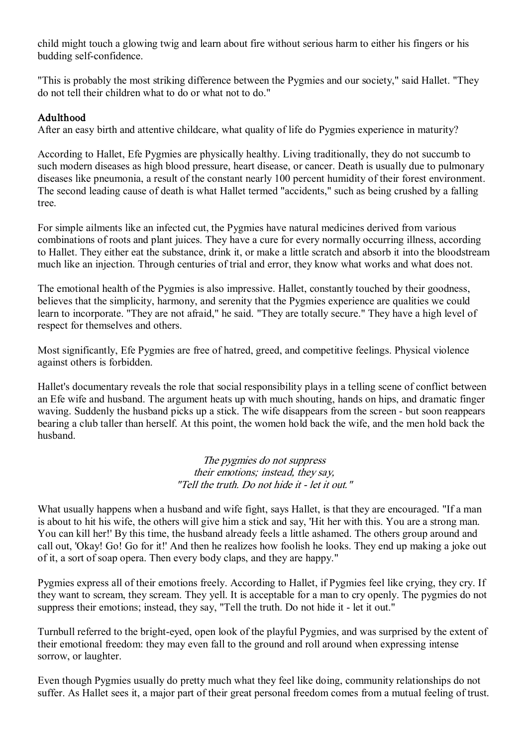child might touch a glowing twig and learn about fire without serious harm to either his fingers or his budding self-confidence.

"This is probably the most striking difference between the Pygmies and our society," said Hallet. "They do not tell their children what to do or what not to do."

## Adulthood

After an easy birth and attentive childcare, what quality of life do Pygmies experience in maturity?

According to Hallet, Efe Pygmies are physically healthy. Living traditionally, they do not succumb to such modern diseases as high blood pressure, heart disease, or cancer. Death is usually due to pulmonary diseases like pneumonia, a result of the constant nearly 100 percent humidity of their forest environment. The second leading cause of death is what Hallet termed "accidents," such as being crushed by a falling tree.

For simple ailments like an infected cut, the Pygmies have natural medicines derived from various combinations of roots and plant juices. They have a cure for every normally occurring illness, according to Hallet. They either eat the substance, drink it, or make a little scratch and absorb it into the bloodstream much like an injection. Through centuries of trial and error, they know what works and what does not.

The emotional health of the Pygmies is also impressive. Hallet, constantly touched by their goodness, believes that the simplicity, harmony, and serenity that the Pygmies experience are qualities we could learn to incorporate. "They are not afraid," he said. "They are totally secure." They have a high level of respect for themselves and others.

Most significantly, Efe Pygmies are free of hatred, greed, and competitive feelings. Physical violence against others is forbidden.

Hallet's documentary reveals the role that social responsibility plays in a telling scene of conflict between an Efe wife and husband. The argument heats up with much shouting, hands on hips, and dramatic finger waving. Suddenly the husband picks up a stick. The wife disappears from the screen - but soon reappears bearing a club taller than herself. At this point, the women hold back the wife, and the men hold back the husband.

> The pygmies do not suppress their emotions; instead, they say, "Tell the truth. Do not hide it - let it out."

What usually happens when a husband and wife fight, says Hallet, is that they are encouraged. "If a man is about to hit his wife, the others will give him a stick and say, 'Hit her with this. You are a strong man. You can kill her!' By this time, the husband already feels a little ashamed. The others group around and call out, 'Okay! Go! Go for it!' And then he realizes how foolish he looks. They end up making a joke out of it, a sort of soap opera. Then every body claps, and they are happy."

Pygmies express all of their emotions freely. According to Hallet, if Pygmies feel like crying, they cry. If they want to scream, they scream. They yell. It is acceptable for a man to cry openly. The pygmies do not suppress their emotions; instead, they say, "Tell the truth. Do not hide it - let it out."

Turnbull referred to the bright-eyed, open look of the playful Pygmies, and was surprised by the extent of their emotional freedom: they may even fall to the ground and roll around when expressing intense sorrow, or laughter.

Even though Pygmies usually do pretty much what they feel like doing, community relationships do not suffer. As Hallet sees it, a major part of their great personal freedom comes from a mutual feeling of trust.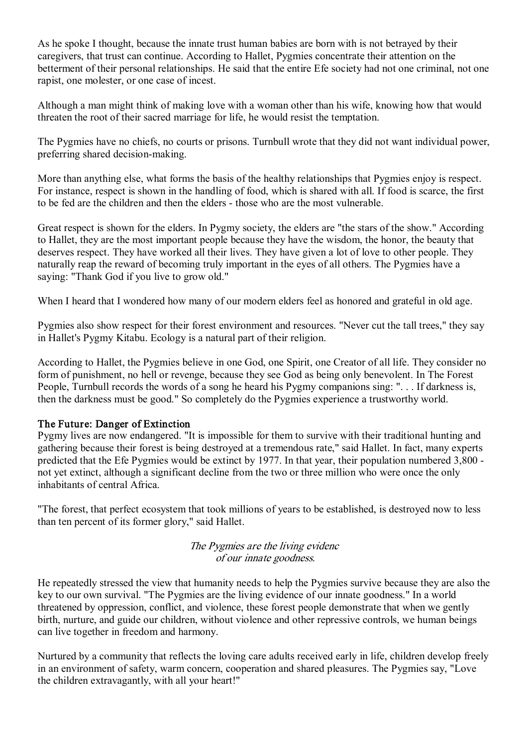As he spoke I thought, because the innate trust human babies are born with is not betrayed by their caregivers, that trust can continue. According to Hallet, Pygmies concentrate their attention on the betterment of their personal relationships. He said that the entire Efe society had not one criminal, not one rapist, one molester, or one case of incest.

Although a man might think of making love with a woman other than his wife, knowing how that would threaten the root of their sacred marriage for life, he would resist the temptation.

The Pygmies have no chiefs, no courts or prisons. Turnbull wrote that they did not want individual power, preferring shared decision-making.

More than anything else, what forms the basis of the healthy relationships that Pygmies enjoy is respect. For instance, respect is shown in the handling of food, which is shared with all. If food is scarce, the first to be fed are the children and then the elders - those who are the most vulnerable.

Great respect is shown for the elders. In Pygmy society, the elders are "the stars of the show." According to Hallet, they are the most important people because they have the wisdom, the honor, the beauty that deserves respect. They have worked all their lives. They have given a lot of love to other people. They naturally reap the reward of becoming truly important in the eyes of all others. The Pygmies have a saying: "Thank God if you live to grow old."

When I heard that I wondered how many of our modern elders feel as honored and grateful in old age.

Pygmies also show respect for their forest environment and resources. "Never cut the tall trees," they say in Hallet's Pygmy Kitabu. Ecology is a natural part of their religion.

According to Hallet, the Pygmies believe in one God, one Spirit, one Creator of all life. They consider no form of punishment, no hell or revenge, because they see God as being only benevolent. In The Forest People, Turnbull records the words of a song he heard his Pygmy companions sing: ". . . If darkness is, then the darkness must be good." So completely do the Pygmies experience a trustworthy world.

### The Future: Danger of Extinction

Pygmy lives are now endangered. "It is impossible for them to survive with their traditional hunting and gathering because their forest is being destroyed at a tremendous rate," said Hallet. In fact, many experts predicted that the Efe Pygmies would be extinct by 1977. In that year, their population numbered 3,800 not yet extinct, although a significant decline from the two or three million who were once the only inhabitants of central Africa.

"The forest, that perfect ecosystem that took millions of years to be established, is destroyed now to less than ten percent of its former glory," said Hallet.

### The Pygmies are the living evidenc of our innate goodness.

He repeatedly stressed the view that humanity needs to help the Pygmies survive because they are also the key to our own survival. "The Pygmies are the living evidence of our innate goodness." In a world threatened by oppression, conflict, and violence, these forest people demonstrate that when we gently birth, nurture, and guide our children, without violence and other repressive controls, we human beings can live together in freedom and harmony.

Nurtured by a community that reflects the loving care adults received early in life, children develop freely in an environment of safety, warm concern, cooperation and shared pleasures. The Pygmies say, "Love the children extravagantly, with all your heart!"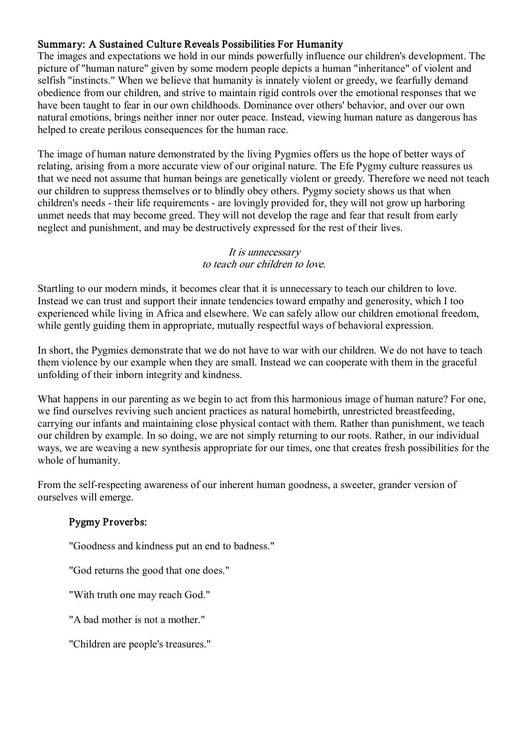## Summary: A Sustained Culture Reveals Possibilities For Humanity

The images and expectations we hold in our minds powerfully influence our children's development. The picture of "human nature" given by some modern people depicts a human "inheritance" of violent and selfish "instincts." When we believe that humanity is innately violent or greedy, we fearfully demand obedience from our children, and strive to maintain rigid controls over the emotional responses that we have been taught to fear in our own childhoods. Dominance over others' behavior, and over our own natural emotions, brings neither inner nor outer peace. Instead, viewing human nature as dangerous has helped to create perilous consequences for the human race.

The image of human nature demonstrated by the living Pygmies offers us the hope of better ways of relating, arising from a more accurate view of our original nature. The Efe Pygmy culture reassures us that we need not assume that human beings are genetically violent or greedy. Therefore we need not teach our children to suppress themselves or to blindly obey others. Pygmy society shows us that when children's needs - their life requirements - are lovingly provided for, they will not grow up harboring unmet needs that may become greed. They will not develop the rage and fear that result from early neglect and punishment, and may be destructively expressed for the rest of their lives.

#### It is unnecessary to teach our children to love.

Startling to our modern minds, it becomes clear that it is unnecessary to teach our children to love. Instead we can trust and support their innate tendencies toward empathy and generosity, which Itoo experienced while living in Africa and elsewhere. We can safely allow our children emotional freedom, while gently guiding them in appropriate, mutually respectful ways of behavioral expression.

In short, the Pygmies demonstrate that we do not have to war with our children. We do not have to teach them violence by our example when they are small. Instead we can cooperate with them in the graceful unfolding of their inborn integrity and kindness.

What happens in our parenting as we begin to act from this harmonious image of human nature? For one, we find ourselves reviving such ancient practices as natural homebirth, unrestricted breastfeeding, carrying our infants and maintaining close physical contact with them. Rather than punishment, we teach our children by example. In so doing, we are not simply returning to our roots. Rather, in our individual ways, we are weaving a new synthesis appropriate for our times, one that creates fresh possibilities for the whole of humanity.

From the self-respecting awareness of our inherent human goodness, a sweeter, grander version of ourselves will emerge.

# Pygmy Proverbs:

"Goodness and kindness put an end to badness."

"God returns the good that one does."

"With truth one may reach God."

"A bad mother is not a mother."

"Children are people's treasures."